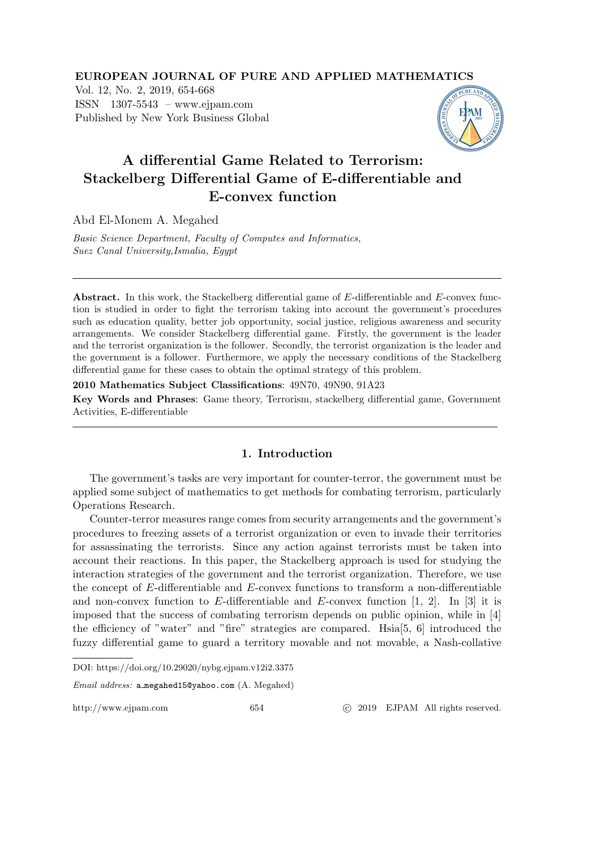EUROPEAN JOURNAL OF PURE AND APPLIED MATHEMATICS

Vol. 12, No. 2, 2019, 654-668 ISSN 1307-5543 – www.ejpam.com Published by New York Business Global



# A differential Game Related to Terrorism: Stackelberg Differential Game of E-differentiable and E-convex function

Abd El-Monem A. Megahed

*Basic Science Department, Faculty of Computes and Informatics, Suez Canal University,Ismalia, Egypt*

Abstract. In this work, the Stackelberg differential game of E-differentiable and E-convex function is studied in order to fight the terrorism taking into account the government's procedures such as education quality, better job opportunity, social justice, religious awareness and security arrangements. We consider Stackelberg differential game. Firstly, the government is the leader and the terrorist organization is the follower. Secondly, the terrorist organization is the leader and the government is a follower. Furthermore, we apply the necessary conditions of the Stackelberg differential game for these cases to obtain the optimal strategy of this problem.

2010 Mathematics Subject Classifications: 49N70, 49N90, 91A23

Key Words and Phrases: Game theory, Terrorism, stackelberg differential game, Government Activities, E-differentiable

#### 1. Introduction

The government's tasks are very important for counter-terror, the government must be applied some subject of mathematics to get methods for combating terrorism, particularly Operations Research.

Counter-terror measures range comes from security arrangements and the government's procedures to freezing assets of a terrorist organization or even to invade their territories for assassinating the terrorists. Since any action against terrorists must be taken into account their reactions. In this paper, the Stackelberg approach is used for studying the interaction strategies of the government and the terrorist organization. Therefore, we use the concept of E-differentiable and E-convex functions to transform a non-differentiable and non-convex function to  $E$ -differentiable and  $E$ -convex function [1, 2]. In [3] it is imposed that the success of combating terrorism depends on public opinion, while in [4] the efficiency of "water" and "fire" strategies are compared. Hsia[5, 6] introduced the fuzzy differential game to guard a territory movable and not movable, a Nash-collative

DOI: https://doi.org/10.29020/nybg.ejpam.v12i2.3375

Email address: a megahed15@yahoo.com (A. Megahed)

http://www.ejpam.com 654 
c 2019 EJPAM All rights reserved.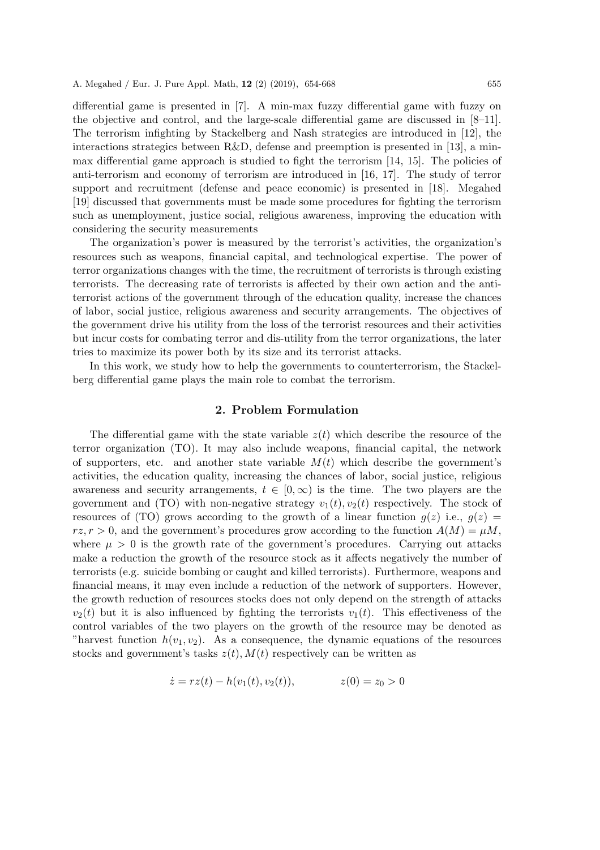differential game is presented in [7]. A min-max fuzzy differential game with fuzzy on the objective and control, and the large-scale differential game are discussed in [8–11]. The terrorism infighting by Stackelberg and Nash strategies are introduced in [12], the interactions strategics between R&D, defense and preemption is presented in [13], a minmax differential game approach is studied to fight the terrorism [14, 15]. The policies of anti-terrorism and economy of terrorism are introduced in [16, 17]. The study of terror support and recruitment (defense and peace economic) is presented in [18]. Megahed [19] discussed that governments must be made some procedures for fighting the terrorism such as unemployment, justice social, religious awareness, improving the education with considering the security measurements

The organization's power is measured by the terrorist's activities, the organization's resources such as weapons, financial capital, and technological expertise. The power of terror organizations changes with the time, the recruitment of terrorists is through existing terrorists. The decreasing rate of terrorists is affected by their own action and the antiterrorist actions of the government through of the education quality, increase the chances of labor, social justice, religious awareness and security arrangements. The objectives of the government drive his utility from the loss of the terrorist resources and their activities but incur costs for combating terror and dis-utility from the terror organizations, the later tries to maximize its power both by its size and its terrorist attacks.

In this work, we study how to help the governments to counterterrorism, the Stackelberg differential game plays the main role to combat the terrorism.

#### 2. Problem Formulation

The differential game with the state variable  $z(t)$  which describe the resource of the terror organization (TO). It may also include weapons, financial capital, the network of supporters, etc. and another state variable  $M(t)$  which describe the government's activities, the education quality, increasing the chances of labor, social justice, religious awareness and security arrangements,  $t \in [0, \infty)$  is the time. The two players are the government and (TO) with non-negative strategy  $v_1(t), v_2(t)$  respectively. The stock of resources of (TO) grows according to the growth of a linear function  $g(z)$  i.e.,  $g(z)$  =  $rz, r > 0$ , and the government's procedures grow according to the function  $A(M) = \mu M$ , where  $\mu > 0$  is the growth rate of the government's procedures. Carrying out attacks make a reduction the growth of the resource stock as it affects negatively the number of terrorists (e.g. suicide bombing or caught and killed terrorists). Furthermore, weapons and financial means, it may even include a reduction of the network of supporters. However, the growth reduction of resources stocks does not only depend on the strength of attacks  $v_2(t)$  but it is also influenced by fighting the terrorists  $v_1(t)$ . This effectiveness of the control variables of the two players on the growth of the resource may be denoted as "harvest function  $h(v_1, v_2)$ . As a consequence, the dynamic equations of the resources stocks and government's tasks  $z(t)$ ,  $M(t)$  respectively can be written as

$$
\dot{z} = rz(t) - h(v_1(t), v_2(t)), \qquad z(0) = z_0 > 0
$$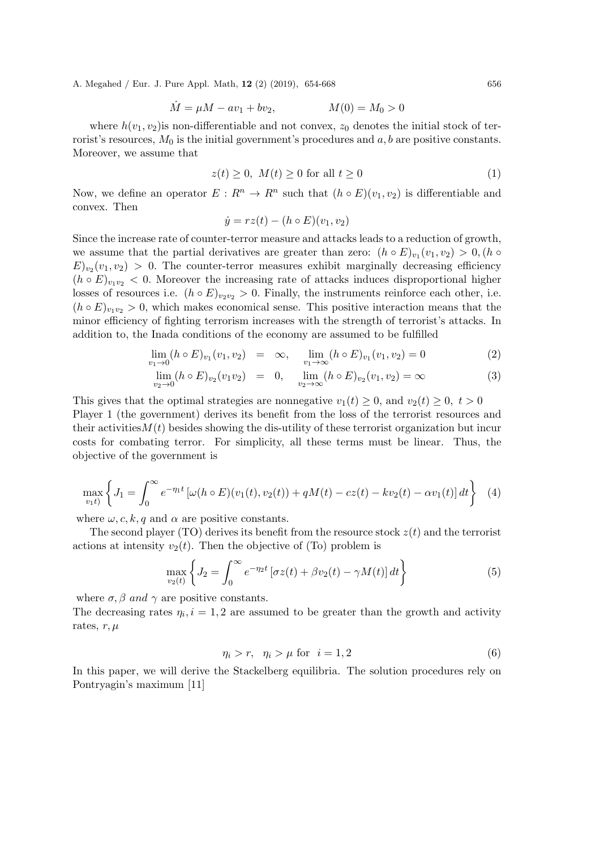$$
\dot{M} = \mu M - av_1 + bv_2, \qquad M(0) = M_0 > 0
$$

where  $h(v_1, v_2)$  is non-differentiable and not convex,  $z_0$  denotes the initial stock of terrorist's resources,  $M_0$  is the initial government's procedures and  $a, b$  are positive constants. Moreover, we assume that

$$
z(t) \ge 0, \ M(t) \ge 0 \text{ for all } t \ge 0 \tag{1}
$$

Now, we define an operator  $E: R^n \to R^n$  such that  $(h \circ E)(v_1, v_2)$  is differentiable and convex. Then

$$
\dot{y} = rz(t) - (h \circ E)(v_1, v_2)
$$

Since the increase rate of counter-terror measure and attacks leads to a reduction of growth, we assume that the partial derivatives are greater than zero:  $(h \circ E)_{v_1}(v_1, v_2) > 0$ ,  $(h \circ$  $E)_{v_2}(v_1, v_2) > 0$ . The counter-terror measures exhibit marginally decreasing efficiency  $(h \circ E)_{v_1v_2} < 0$ . Moreover the increasing rate of attacks induces disproportional higher losses of resources i.e.  $(h \circ E)_{v \circ v_2} > 0$ . Finally, the instruments reinforce each other, i.e.  $(h \circ E)_{v_1v_2} > 0$ , which makes economical sense. This positive interaction means that the minor efficiency of fighting terrorism increases with the strength of terrorist's attacks. In addition to, the Inada conditions of the economy are assumed to be fulfilled

$$
\lim_{v_1 \to 0} (h \circ E)_{v_1}(v_1, v_2) = \infty, \quad \lim_{v_1 \to \infty} (h \circ E)_{v_1}(v_1, v_2) = 0 \tag{2}
$$

$$
\lim_{v_2 \to 0} (h \circ E)_{v_2}(v_1 v_2) = 0, \quad \lim_{v_2 \to \infty} (h \circ E)_{v_2}(v_1, v_2) = \infty
$$
\n(3)

This gives that the optimal strategies are nonnegative  $v_1(t) \geq 0$ , and  $v_2(t) \geq 0$ ,  $t > 0$ Player 1 (the government) derives its benefit from the loss of the terrorist resources and their activities  $M(t)$  besides showing the dis-utility of these terrorist organization but incur costs for combating terror. For simplicity, all these terms must be linear. Thus, the objective of the government is

$$
\max_{v_1 t} \left\{ J_1 = \int_0^\infty e^{-\eta_1 t} \left[ \omega(h \circ E)(v_1(t), v_2(t)) + qM(t) - cz(t) - kv_2(t) - \alpha v_1(t) \right] dt \right\} \tag{4}
$$

where  $\omega$ , c, k, q and  $\alpha$  are positive constants.

The second player (TO) derives its benefit from the resource stock  $z(t)$  and the terrorist actions at intensity  $v_2(t)$ . Then the objective of (To) problem is

$$
\max_{v_2(t)} \left\{ J_2 = \int_0^\infty e^{-\eta_2 t} \left[ \sigma z(t) + \beta v_2(t) - \gamma M(t) \right] dt \right\} \tag{5}
$$

where  $\sigma$ ,  $\beta$  and  $\gamma$  are positive constants.

The decreasing rates  $\eta_i$ ,  $i = 1, 2$  are assumed to be greater than the growth and activity rates,  $r, \mu$ 

$$
\eta_i > r, \quad \eta_i > \mu \text{ for } i = 1, 2 \tag{6}
$$

In this paper, we will derive the Stackelberg equilibria. The solution procedures rely on Pontryagin's maximum [11]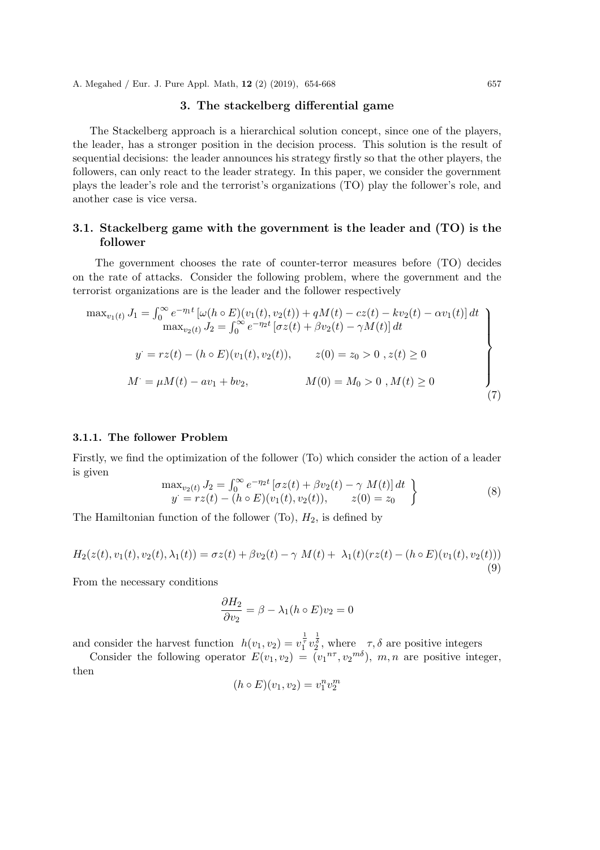#### 3. The stackelberg differential game

The Stackelberg approach is a hierarchical solution concept, since one of the players, the leader, has a stronger position in the decision process. This solution is the result of sequential decisions: the leader announces his strategy firstly so that the other players, the followers, can only react to the leader strategy. In this paper, we consider the government plays the leader's role and the terrorist's organizations (TO) play the follower's role, and another case is vice versa.

## 3.1. Stackelberg game with the government is the leader and (TO) is the follower

The government chooses the rate of counter-terror measures before (TO) decides on the rate of attacks. Consider the following problem, where the government and the terrorist organizations are is the leader and the follower respectively

$$
\max_{v_1(t)} J_1 = \int_0^\infty e^{-\eta_1 t} \left[ \omega(h \circ E)(v_1(t), v_2(t)) + qM(t) - cz(t) - kv_2(t) - \alpha v_1(t) \right] dt
$$
  
\n
$$
\max_{v_2(t)} J_2 = \int_0^\infty e^{-\eta_2 t} \left[ \sigma z(t) + \beta v_2(t) - \gamma M(t) \right] dt
$$
  
\n
$$
y' = rz(t) - (h \circ E)(v_1(t), v_2(t)), \qquad z(0) = z_0 > 0, z(t) \ge 0
$$
  
\n
$$
M' = \mu M(t) - \alpha v_1 + b v_2, \qquad M(0) = M_0 > 0, M(t) \ge 0
$$
\n(7)

### 3.1.1. The follower Problem

Firstly, we find the optimization of the follower (To) which consider the action of a leader is given

$$
\max_{v_2(t)} J_2 = \int_0^\infty e^{-\eta_2 t} \left[ \sigma z(t) + \beta v_2(t) - \gamma M(t) \right] dt \ny = rz(t) - (h \circ E)(v_1(t), v_2(t)), \qquad z(0) = z_0
$$
\n(8)

The Hamiltonian function of the follower  $(T_0)$ ,  $H_2$ , is defined by

$$
H_2(z(t), v_1(t), v_2(t), \lambda_1(t)) = \sigma z(t) + \beta v_2(t) - \gamma M(t) + \lambda_1(t)(rz(t) - (h \circ E)(v_1(t), v_2(t)))
$$
\n(9)

From the necessary conditions

$$
\frac{\partial H_2}{\partial v_2} = \beta - \lambda_1 (h \circ E) v_2 = 0
$$

and consider the harvest function  $h(v_1, v_2) = v_1^{\frac{1}{\tau}} v_2^{\frac{1}{\delta}}$ , where  $\tau$ ,  $\delta$  are positive integers

Consider the following operator  $E(v_1, v_2) = (v_1^{n\tau}, v_2^{m\delta}), m, n$  are positive integer, then

$$
(h \circ E)(v_1, v_2) = v_1^n v_2^m
$$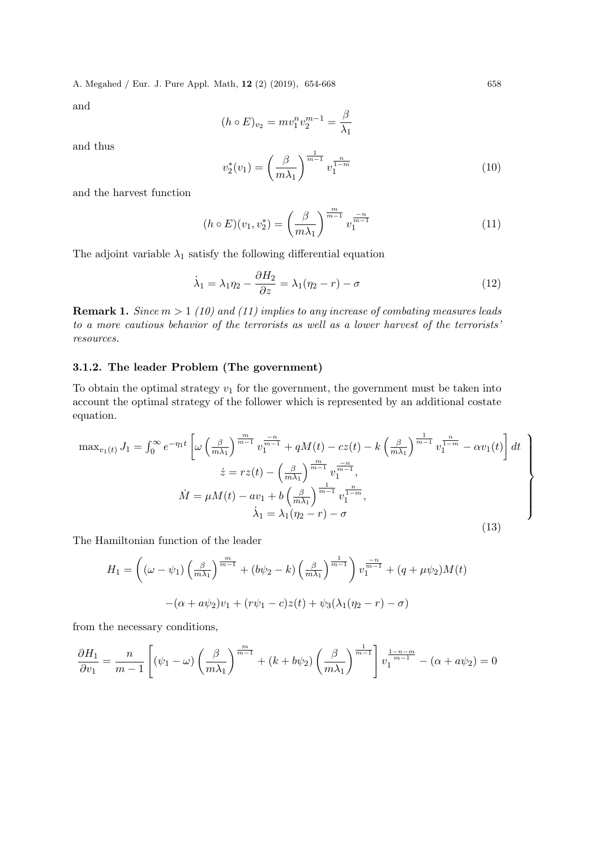and

$$
(h \circ E)_{v_2} = m v_1^n v_2^{m-1} = \frac{\beta}{\lambda_1}
$$

and thus

$$
v_2^*(v_1) = \left(\frac{\beta}{m\lambda_1}\right)^{\frac{1}{m-1}} v_1^{\frac{n}{1-m}}
$$
\n(10)

and the harvest function

$$
(h \circ E)(v_1, v_2^*) = \left(\frac{\beta}{m\lambda_1}\right)^{\frac{m}{m-1}} v_1^{\frac{-n}{m-1}}
$$
\n(11)

The adjoint variable  $\lambda_1$  satisfy the following differential equation

$$
\dot{\lambda}_1 = \lambda_1 \eta_2 - \frac{\partial H_2}{\partial z} = \lambda_1 (\eta_2 - r) - \sigma \tag{12}
$$

Remark 1. *Since* m > 1 *(10) and (11) implies to any increase of combating measures leads to a more cautious behavior of the terrorists as well as a lower harvest of the terrorists' resources.*

#### 3.1.2. The leader Problem (The government)

To obtain the optimal strategy  $v_1$  for the government, the government must be taken into account the optimal strategy of the follower which is represented by an additional costate equation.

$$
\max_{v_1(t)} J_1 = \int_0^\infty e^{-\eta_1 t} \left[ \omega \left( \frac{\beta}{m \lambda_1} \right)^{\frac{m}{m-1}} v_1^{\frac{-n}{m-1}} + qM(t) - cz(t) - k \left( \frac{\beta}{m \lambda_1} \right)^{\frac{1}{m-1}} v_1^{\frac{n}{m-1}} - \alpha v_1(t) \right] dt
$$
  
\n
$$
\dot{z} = rz(t) - \left( \frac{\beta}{m \lambda_1} \right)^{\frac{m}{m-1}} v_1^{\frac{-n}{m-1}},
$$
  
\n
$$
\dot{M} = \mu M(t) - av_1 + b \left( \frac{\beta}{m \lambda_1} \right)^{\frac{1}{m-1}} v_1^{\frac{n}{1-m}},
$$
  
\n
$$
\dot{\lambda}_1 = \lambda_1 (\eta_2 - r) - \sigma
$$
\n(13)

The Hamiltonian function of the leader

$$
H_1 = \left( (\omega - \psi_1) \left( \frac{\beta}{m \lambda_1} \right)^{\frac{m}{m-1}} + (b\psi_2 - k) \left( \frac{\beta}{m \lambda_1} \right)^{\frac{1}{m-1}} \right) v_1^{\frac{-n}{m-1}} + (q + \mu \psi_2) M(t)
$$

$$
-(\alpha + a\psi_2)v_1 + (r\psi_1 - c)z(t) + \psi_3(\lambda_1(\eta_2 - r) - \sigma)
$$

from the necessary conditions,

$$
\frac{\partial H_1}{\partial v_1} = \frac{n}{m-1} \left[ (\psi_1 - \omega) \left( \frac{\beta}{m \lambda_1} \right)^{\frac{m}{m-1}} + (k + b\psi_2) \left( \frac{\beta}{m \lambda_1} \right)^{\frac{1}{m-1}} \right] v_1^{\frac{1-n-m}{m-1}} - (\alpha + a\psi_2) = 0
$$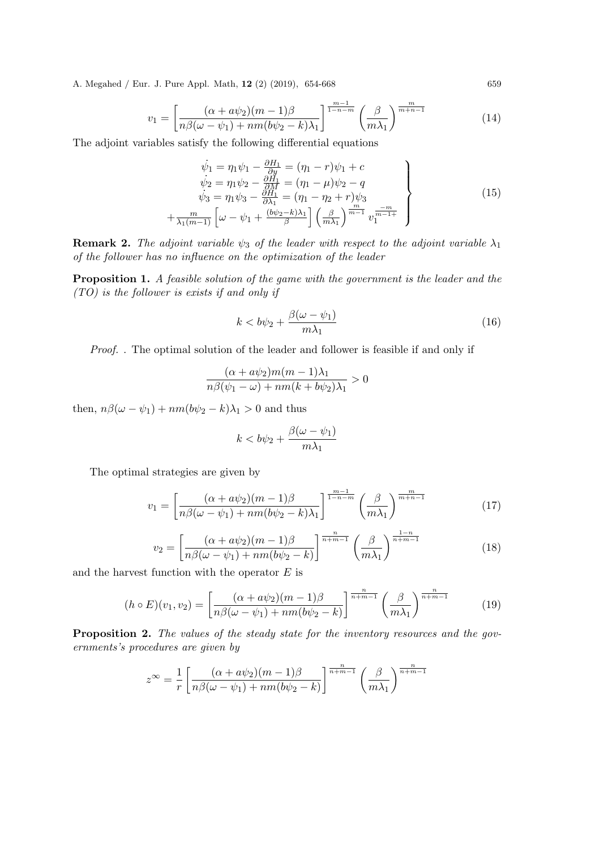$$
v_1 = \left[\frac{(\alpha + a\psi_2)(m-1)\beta}{n\beta(\omega - \psi_1) + nm(b\psi_2 - k)\lambda_1}\right]^{\frac{m-1}{1-n-m}} \left(\frac{\beta}{m\lambda_1}\right)^{\frac{m}{m+n-1}}\tag{14}
$$

The adjoint variables satisfy the following differential equations

$$
\begin{aligned}\n\dot{\psi}_1 &= \eta_1 \psi_1 - \frac{\partial H_1}{\partial y} = (\eta_1 - r)\psi_1 + c \\
\dot{\psi}_2 &= \eta_1 \psi_2 - \frac{\partial H_1}{\partial M} = (\eta_1 - \mu)\psi_2 - q \\
\dot{\psi}_3 &= \eta_1 \psi_3 - \frac{\partial H_1}{\partial \lambda_1} = (\eta_1 - \eta_2 + r)\psi_3 \\
+\frac{m}{\lambda_1(m-1)} \left[ \omega - \psi_1 + \frac{(\frac{b\psi_2 - k}{\beta})\lambda_1}{\beta} \right] \left( \frac{\beta}{m\lambda_1} \right)^{\frac{m}{m-1}} v_1^{\frac{-m}{m-1+}}\n\end{aligned} \tag{15}
$$

**Remark 2.** *The adjoint variable*  $\psi_3$  *of the leader with respect to the adjoint variable*  $\lambda_1$ *of the follower has no influence on the optimization of the leader*

Proposition 1. *A feasible solution of the game with the government is the leader and the (TO) is the follower is exists if and only if*

$$
k < b\psi_2 + \frac{\beta(\omega - \psi_1)}{m\lambda_1} \tag{16}
$$

*Proof.* . The optimal solution of the leader and follower is feasible if and only if

$$
\frac{(\alpha + a\psi_2)m(m-1)\lambda_1}{n\beta(\psi_1 - \omega) + nm(k + b\psi_2)\lambda_1} > 0
$$

then,  $n\beta(\omega - \psi_1) + nm(b\psi_2 - k)\lambda_1 > 0$  and thus

$$
k < b\psi_2 + \frac{\beta(\omega - \psi_1)}{m\lambda_1}
$$

The optimal strategies are given by

$$
v_1 = \left[\frac{(\alpha + a\psi_2)(m-1)\beta}{n\beta(\omega - \psi_1) + nm(b\psi_2 - k)\lambda_1}\right]^{\frac{m-1}{1-n-m}} \left(\frac{\beta}{m\lambda_1}\right)^{\frac{m}{m+n-1}}\tag{17}
$$

$$
v_2 = \left[\frac{(\alpha + a\psi_2)(m-1)\beta}{n\beta(\omega - \psi_1) + nm(b\psi_2 - k)}\right]^{\frac{n}{n+m-1}} \left(\frac{\beta}{m\lambda_1}\right)^{\frac{1-n}{n+m-1}}\tag{18}
$$

and the harvest function with the operator  $E$  is

$$
(h \circ E)(v_1, v_2) = \left[\frac{(\alpha + a\psi_2)(m-1)\beta}{n\beta(\omega - \psi_1) + nm(b\psi_2 - k)}\right]^{\frac{n}{n+m-1}} \left(\frac{\beta}{m\lambda_1}\right)^{\frac{n}{n+m-1}}\n\tag{19}
$$

Proposition 2. *The values of the steady state for the inventory resources and the governments's procedures are given by*

$$
z^{\infty} = \frac{1}{r} \left[ \frac{(\alpha + a\psi_2)(m-1)\beta}{n\beta(\omega - \psi_1) + nm(b\psi_2 - k)} \right]^{\frac{n}{n+m-1}} \left( \frac{\beta}{m\lambda_1} \right)^{\frac{n}{n+m-1}}
$$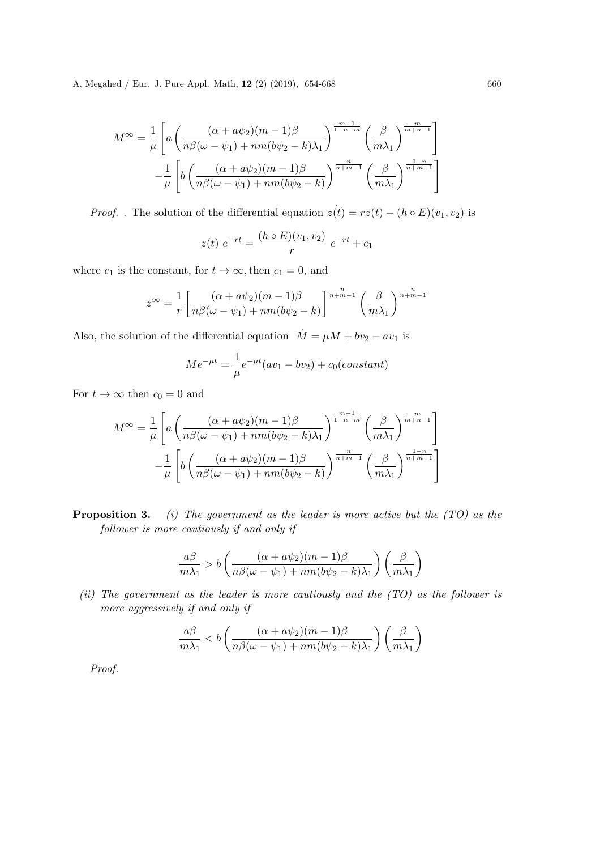$$
M^{\infty} = \frac{1}{\mu} \left[ a \left( \frac{(\alpha + a\psi_2)(m-1)\beta}{n\beta(\omega - \psi_1) + nm(b\psi_2 - k)\lambda_1} \right)^{\frac{m-1}{1-n-m}} \left( \frac{\beta}{m\lambda_1} \right)^{\frac{m}{m+n-1}} \right]
$$

$$
- \frac{1}{\mu} \left[ b \left( \frac{(\alpha + a\psi_2)(m-1)\beta}{n\beta(\omega - \psi_1) + nm(b\psi_2 - k)} \right)^{\frac{n}{n+m-1}} \left( \frac{\beta}{m\lambda_1} \right)^{\frac{1-n}{n+m-1}} \right]
$$

*Proof.* . The solution of the differential equation  $z(t) = rz(t) - (h \circ E)(v_1, v_2)$  is

$$
z(t) e^{-rt} = \frac{(h \circ E)(v_1, v_2)}{r} e^{-rt} + c_1
$$

where  $c_1$  is the constant, for  $t \to \infty$ , then  $c_1 = 0$ , and

$$
z^{\infty} = \frac{1}{r} \left[ \frac{(\alpha + a\psi_2)(m-1)\beta}{n\beta(\omega - \psi_1) + nm(b\psi_2 - k)} \right]^{\frac{n}{n+m-1}} \left( \frac{\beta}{m\lambda_1} \right)^{\frac{n}{n+m-1}}
$$

Also, the solution of the differential equation  $\dot{M} = \mu M + bv_2 - av_1$  is

$$
Me^{-\mu t} = \frac{1}{\mu}e^{-\mu t}(av_1 - bv_2) + c_0(constant)
$$

For  $t \to \infty$  then  $c_0 = 0$  and

$$
M^{\infty} = \frac{1}{\mu} \left[ a \left( \frac{(\alpha + a\psi_2)(m-1)\beta}{n\beta(\omega - \psi_1) + nm(b\psi_2 - k)\lambda_1} \right)^{\frac{m-1}{1-n-m}} \left( \frac{\beta}{m\lambda_1} \right)^{\frac{m}{m+n-1}} \right]
$$

$$
- \frac{1}{\mu} \left[ b \left( \frac{(\alpha + a\psi_2)(m-1)\beta}{n\beta(\omega - \psi_1) + nm(b\psi_2 - k)} \right)^{\frac{n}{n+m-1}} \left( \frac{\beta}{m\lambda_1} \right)^{\frac{1-n}{n+m-1}} \right]
$$

Proposition 3. *(i) The government as the leader is more active but the (TO) as the follower is more cautiously if and only if*

$$
\frac{a\beta}{m\lambda_1} > b\left(\frac{(\alpha + a\psi_2)(m-1)\beta}{n\beta(\omega - \psi_1) + nm(b\psi_2 - k)\lambda_1}\right)\left(\frac{\beta}{m\lambda_1}\right)
$$

*(ii) The government as the leader is more cautiously and the (TO) as the follower is more aggressively if and only if*

$$
\frac{a\beta}{m\lambda_1} < b\left(\frac{(\alpha + a\psi_2)(m-1)\beta}{n\beta(\omega - \psi_1) + nm(b\psi_2 - k)\lambda_1}\right) \left(\frac{\beta}{m\lambda_1}\right)
$$

*Proof.*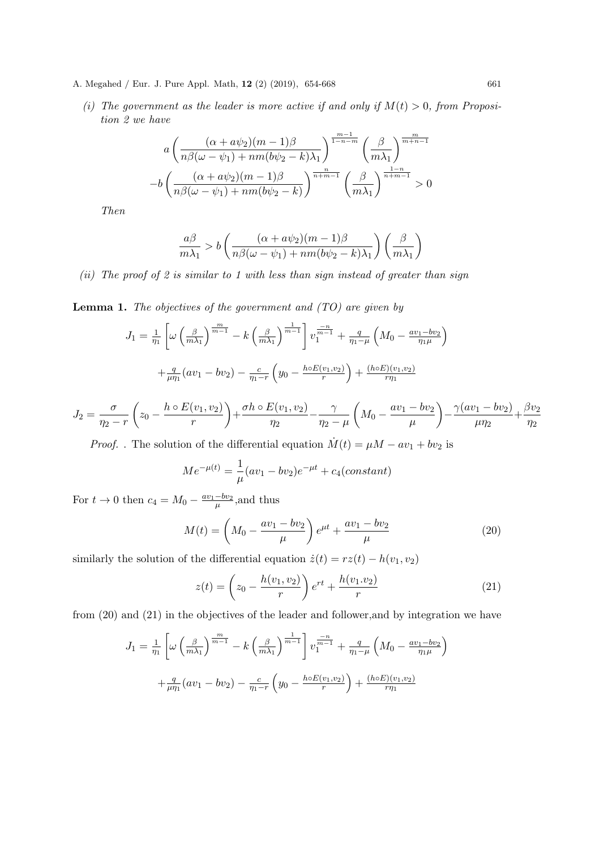- A. Megahed / Eur. J. Pure Appl. Math, 12 (2) (2019), 654-668 661
	- (*i*) The government as the leader is more active if and only if  $M(t) > 0$ , from Proposi*tion 2 we have*

$$
a\left(\frac{(\alpha+a\psi_2)(m-1)\beta}{n\beta(\omega-\psi_1)+nm(b\psi_2-k)\lambda_1}\right)^{\frac{m-1}{1-n-m}}\left(\frac{\beta}{m\lambda_1}\right)^{\frac{m}{m+n-1}}
$$

$$
-b\left(\frac{(\alpha+a\psi_2)(m-1)\beta}{n\beta(\omega-\psi_1)+nm(b\psi_2-k)}\right)^{\frac{n}{n+m-1}}\left(\frac{\beta}{m\lambda_1}\right)^{\frac{1-n}{n+m-1}} > 0
$$

*Then*

$$
\frac{a\beta}{m\lambda_1} > b\left(\frac{(\alpha + a\psi_2)(m-1)\beta}{n\beta(\omega - \psi_1) + nm(b\psi_2 - k)\lambda_1}\right)\left(\frac{\beta}{m\lambda_1}\right)
$$

*(ii) The proof of 2 is similar to 1 with less than sign instead of greater than sign*

Lemma 1. *The objectives of the government and (TO) are given by*

$$
J_1 = \frac{1}{\eta_1} \left[ \omega \left( \frac{\beta}{m \lambda_1} \right)^{\frac{m}{m-1}} - k \left( \frac{\beta}{m \lambda_1} \right)^{\frac{1}{m-1}} \right] v_1^{\frac{-n}{m-1}} + \frac{q}{\eta_1 - \mu} \left( M_0 - \frac{a v_1 - b v_2}{\eta_1 \mu} \right)
$$

$$
+ \frac{q}{\mu \eta_1} (a v_1 - b v_2) - \frac{c}{\eta_1 - r} \left( y_0 - \frac{h \circ E(v_1, v_2)}{r} \right) + \frac{(h \circ E)(v_1, v_2)}{r \eta_1}
$$

$$
J_2 = \frac{\sigma}{\eta_2 - r} \left( z_0 - \frac{h \circ E(v_1, v_2)}{r} \right) + \frac{\sigma h \circ E(v_1, v_2)}{\eta_2} - \frac{\gamma}{\eta_2 - \mu} \left( M_0 - \frac{av_1 - bv_2}{\mu} \right) - \frac{\gamma (av_1 - bv_2)}{\mu \eta_2} + \frac{\beta v_2}{\eta_2}
$$

*Proof.* . The solution of the differential equation  $\dot{M}(t) = \mu M - av_1 + bv_2$  is

$$
Me^{-\mu(t)} = \frac{1}{\mu}(av_1 - bv_2)e^{-\mu t} + c_4(constant)
$$

For  $t \to 0$  then  $c_4 = M_0 - \frac{av_1 - bv_2}{\mu}$ , and thus

$$
M(t) = \left(M_0 - \frac{av_1 - bv_2}{\mu}\right)e^{\mu t} + \frac{av_1 - bv_2}{\mu}
$$
 (20)

similarly the solution of the differential equation  $\dot{z}(t) = rz(t) - h(v_1, v_2)$ 

$$
z(t) = \left(z_0 - \frac{h(v_1, v_2)}{r}\right) e^{rt} + \frac{h(v_1, v_2)}{r}
$$
 (21)

from (20) and (21) in the objectives of the leader and follower,and by integration we have

$$
J_1 = \frac{1}{\eta_1} \left[ \omega \left( \frac{\beta}{m \lambda_1} \right)^{\frac{m}{m-1}} - k \left( \frac{\beta}{m \lambda_1} \right)^{\frac{1}{m-1}} \right] v_1^{\frac{-n}{m-1}} + \frac{q}{\eta_1 - \mu} \left( M_0 - \frac{a v_1 - b v_2}{\eta_1 \mu} \right)
$$

$$
+ \frac{q}{\mu \eta_1} (a v_1 - b v_2) - \frac{c}{\eta_1 - r} \left( y_0 - \frac{h \circ E(v_1, v_2)}{r} \right) + \frac{(h \circ E)(v_1, v_2)}{r \eta_1}
$$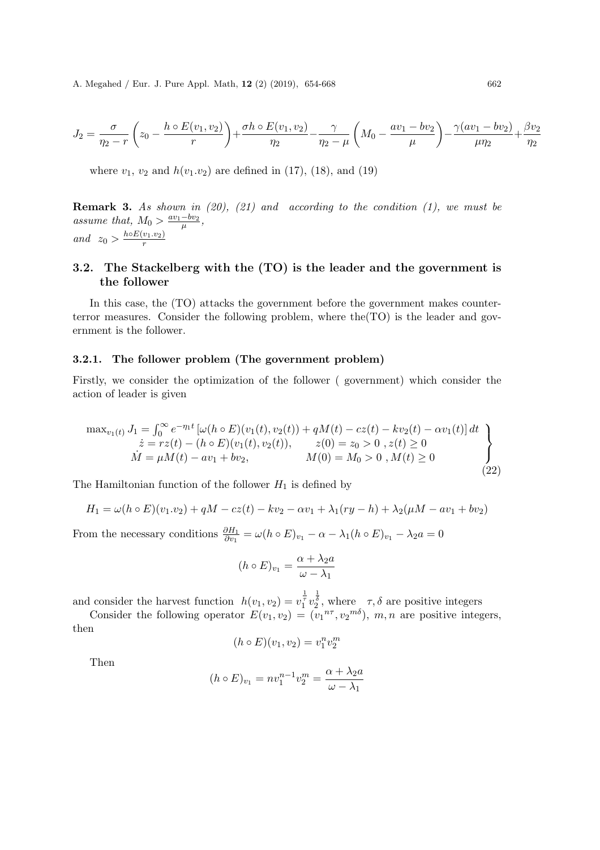$$
J_2 = \frac{\sigma}{\eta_2 - r} \left( z_0 - \frac{h \circ E(v_1, v_2)}{r} \right) + \frac{\sigma h \circ E(v_1, v_2)}{\eta_2} - \frac{\gamma}{\eta_2 - \mu} \left( M_0 - \frac{av_1 - bv_2}{\mu} \right) - \frac{\gamma (av_1 - bv_2)}{\mu \eta_2} + \frac{\beta v_2}{\eta_2}
$$

where  $v_1, v_2$  and  $h(v_1 \nvert v_2)$  are defined in (17), (18), and (19)

Remark 3. *As shown in (20), (21) and according to the condition (1), we must be* assume that,  $M_0 > \frac{av_1 - bv_2}{\mu}$ , *and*  $z_0 > \frac{h \circ E(v_1 \cdot v_2)}{r}$ r

# 3.2. The Stackelberg with the (TO) is the leader and the government is the follower

In this case, the (TO) attacks the government before the government makes counterterror measures. Consider the following problem, where the  $(TO)$  is the leader and government is the follower.

#### 3.2.1. The follower problem (The government problem)

Firstly, we consider the optimization of the follower ( government) which consider the action of leader is given

$$
\max_{v_1(t)} J_1 = \int_0^\infty e^{-\eta_1 t} \left[ \omega(h \circ E)(v_1(t), v_2(t)) + qM(t) - cz(t) - kv_2(t) - \alpha v_1(t) \right] dt
$$
  
\n
$$
\dot{z} = rz(t) - (h \circ E)(v_1(t), v_2(t)), \qquad z(0) = z_0 > 0, z(t) \ge 0
$$
  
\n
$$
\dot{M} = \mu M(t) - \alpha v_1 + b v_2, \qquad M(0) = M_0 > 0, M(t) \ge 0
$$
\n(22)

The Hamiltonian function of the follower  $H_1$  is defined by

$$
H_1 = \omega(h \circ E)(v_1.v_2) + qM - cz(t) - kv_2 - \alpha v_1 + \lambda_1(ry - h) + \lambda_2(\mu M - av_1 + bv_2)
$$

From the necessary conditions  $\frac{\partial H_1}{\partial v_1} = \omega(h \circ E)_{v_1} - \alpha - \lambda_1(h \circ E)_{v_1} - \lambda_2 a = 0$ 

$$
(h \circ E)_{v_1} = \frac{\alpha + \lambda_2 a}{\omega - \lambda_1}
$$

and consider the harvest function  $h(v_1, v_2) = v_1^{\frac{1}{\tau}} v_2^{\frac{1}{\tau}}$ , where  $\tau$ ,  $\delta$  are positive integers

Consider the following operator  $E(v_1, v_2) = (v_1^{n\tau}, v_2^{m\delta}), m, n$  are positive integers, then

$$
(h \circ E)(v_1, v_2) = v_1^n v_2^m
$$

Then

$$
(h \circ E)_{v_1} = nv_1^{n-1}v_2^m = \frac{\alpha + \lambda_2 a}{\omega - \lambda_1}
$$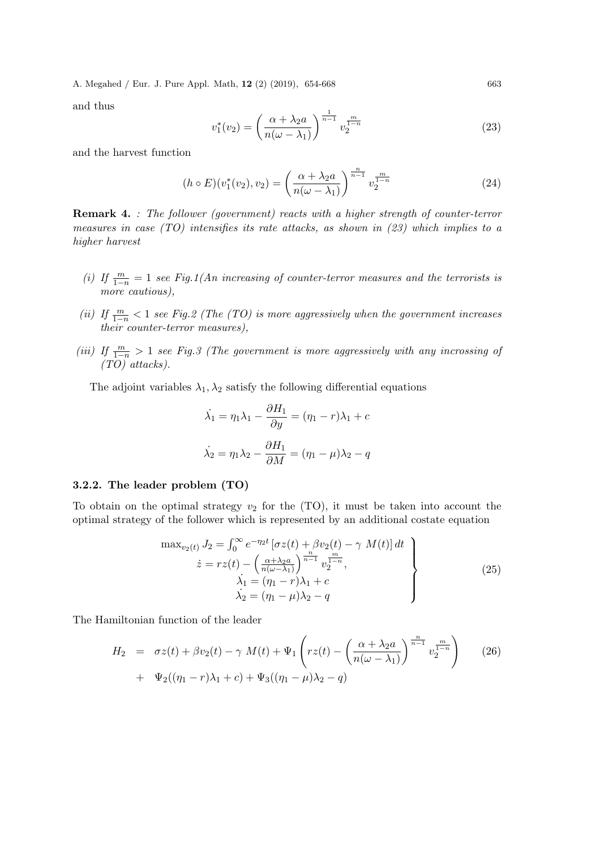and thus

$$
v_1^*(v_2) = \left(\frac{\alpha + \lambda_2 a}{n(\omega - \lambda_1)}\right)^{\frac{1}{n-1}} v_2^{\frac{m}{1-n}}
$$
\n(23)

and the harvest function

$$
(h \circ E)(v_1^*(v_2), v_2) = \left(\frac{\alpha + \lambda_2 a}{n(\omega - \lambda_1)}\right)^{\frac{n}{n-1}} v_2^{\frac{m}{1-n}} \tag{24}
$$

Remark 4. *: The follower (government) reacts with a higher strength of counter-terror measures in case (TO) intensifies its rate attacks, as shown in (23) which implies to a higher harvest*

- *(i)* If  $\frac{m}{1-n} = 1$  *see Fig.1(An increasing of counter-terror measures and the terrorists is more cautious),*
- *(ii)* If  $\frac{m}{1-n}$  < 1 *see Fig.2 (The (TO) is more aggressively when the government increases their counter-terror measures),*
- *(iii) If*  $\frac{m}{1-n} > 1$  *see Fig.3 (The government is more aggressively with any incrossing of (TO) attacks).*

The adjoint variables  $\lambda_1, \lambda_2$  satisfy the following differential equations

$$
\dot{\lambda}_1 = \eta_1 \lambda_1 - \frac{\partial H_1}{\partial y} = (\eta_1 - r)\lambda_1 + c
$$

$$
\dot{\lambda}_2 = \eta_1 \lambda_2 - \frac{\partial H_1}{\partial M} = (\eta_1 - \mu)\lambda_2 - q
$$

#### 3.2.2. The leader problem (TO)

To obtain on the optimal strategy  $v_2$  for the (TO), it must be taken into account the optimal strategy of the follower which is represented by an additional costate equation

$$
\max_{v_2(t)} J_2 = \int_0^\infty e^{-\eta_2 t} \left[ \sigma z(t) + \beta v_2(t) - \gamma M(t) \right] dt
$$
  
\n
$$
\dot{z} = rz(t) - \left( \frac{\alpha + \lambda_2 a}{n(\omega - \lambda_1)} \right)^{\frac{n}{n-1}} v_2^{\frac{n}{1-n}},
$$
  
\n
$$
\lambda_1 = (\eta_1 - r)\lambda_1 + c
$$
  
\n
$$
\lambda_2 = (\eta_1 - \mu)\lambda_2 - q
$$
\n(25)

The Hamiltonian function of the leader

$$
H_2 = \sigma z(t) + \beta v_2(t) - \gamma M(t) + \Psi_1 \left( rz(t) - \left( \frac{\alpha + \lambda_2 a}{n(\omega - \lambda_1)} \right)^{\frac{n}{n-1}} v_2^{\frac{m}{1-n}} \right) \tag{26}
$$
  
+  $\Psi_2((\eta_1 - r)\lambda_1 + c) + \Psi_3((\eta_1 - \mu)\lambda_2 - q)$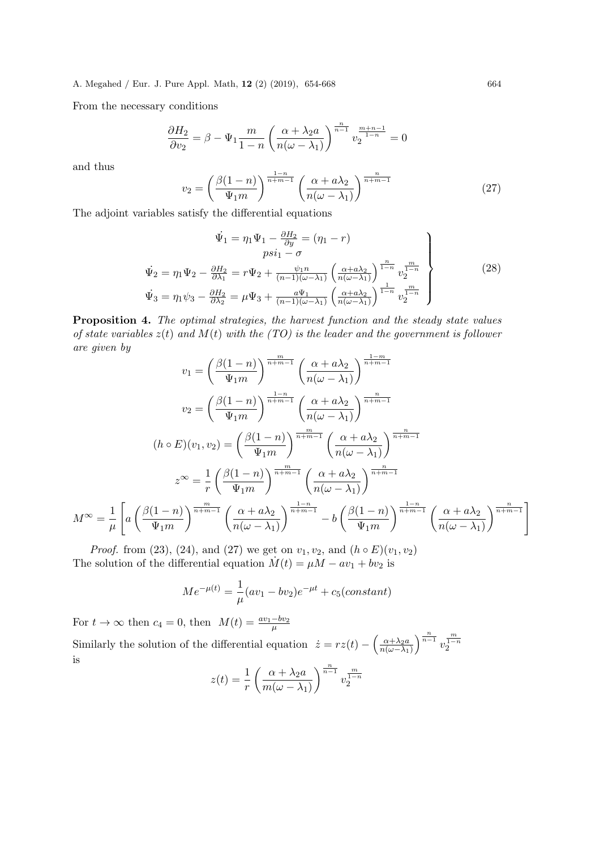From the necessary conditions

$$
\frac{\partial H_2}{\partial v_2} = \beta - \Psi_1 \frac{m}{1-n} \left( \frac{\alpha + \lambda_2 a}{n(\omega - \lambda_1)} \right)^{\frac{n}{n-1}} v_2^{\frac{m+n-1}{1-n}} = 0
$$

and thus

$$
v_2 = \left(\frac{\beta(1-n)}{\Psi_1 m}\right)^{\frac{1-n}{n+m-1}} \left(\frac{\alpha + a\lambda_2}{n(\omega - \lambda_1)}\right)^{\frac{n}{n+m-1}}
$$
(27)

The adjoint variables satisfy the differential equations

$$
\begin{aligned}\n\dot{\Psi}_1 &= \eta_1 \Psi_1 - \frac{\partial H_2}{\partial y} = (\eta_1 - r) \\
psi_2 &= \eta_1 \Psi_2 - \frac{\partial H_2}{\partial \lambda_1} = r \Psi_2 + \frac{\psi_1 n}{(n-1)(\omega - \lambda_1)} \left( \frac{\alpha + a\lambda_2}{n(\omega - \lambda_1)} \right)^{\frac{n}{1-n}} v_2^{\frac{m}{1-n}} \\
\dot{\Psi}_3 &= \eta_1 \psi_3 - \frac{\partial H_2}{\partial \lambda_2} = \mu \Psi_3 + \frac{a \Psi_1}{(n-1)(\omega - \lambda_1)} \left( \frac{\alpha + a\lambda_2}{n(\omega - \lambda_1)} \right)^{\frac{1}{1-n}} v_2^{\frac{m}{1-n}}\n\end{aligned} \tag{28}
$$

Proposition 4. *The optimal strategies, the harvest function and the steady state values of state variables* z(t) *and* M(t) *with the (TO) is the leader and the government is follower are given by*

$$
v_1 = \left(\frac{\beta(1-n)}{\Psi_1 m}\right)^{\frac{m}{n+m-1}} \left(\frac{\alpha + a\lambda_2}{n(\omega - \lambda_1)}\right)^{\frac{1-m}{n+m-1}}
$$

$$
v_2 = \left(\frac{\beta(1-n)}{\Psi_1 m}\right)^{\frac{1-n}{n+m-1}} \left(\frac{\alpha + a\lambda_2}{n(\omega - \lambda_1)}\right)^{\frac{n}{n+m-1}}
$$

$$
(h \circ E)(v_1, v_2) = \left(\frac{\beta(1-n)}{\Psi_1 m}\right)^{\frac{m}{n+m-1}} \left(\frac{\alpha + a\lambda_2}{n(\omega - \lambda_1)}\right)^{\frac{n}{n+m-1}}
$$

$$
z^{\infty} = \frac{1}{r} \left(\frac{\beta(1-n)}{\Psi_1 m}\right)^{\frac{m}{n+m-1}} \left(\frac{\alpha + a\lambda_2}{n(\omega - \lambda_1)}\right)^{\frac{n}{n+m-1}}
$$

$$
M^{\infty} = \frac{1}{\mu} \left[a\left(\frac{\beta(1-n)}{\Psi_1 m}\right)^{\frac{m}{n+m-1}} \left(\frac{\alpha + a\lambda_2}{n(\omega - \lambda_1)}\right)^{\frac{1-n}{n+m-1}} - b\left(\frac{\beta(1-n)}{\Psi_1 m}\right)^{\frac{1-n}{n+m-1}} \left(\frac{\alpha + a\lambda_2}{n(\omega - \lambda_1)}\right)^{\frac{n}{n+m-1}}\right]
$$

*Proof.* from (23), (24), and (27) we get on  $v_1, v_2$ , and  $(h \circ E)(v_1, v_2)$ The solution of the differential equation  $\dot{M}(t) = \mu M - av_1 + bv_2$  is

$$
Me^{-\mu(t)} = \frac{1}{\mu}(av_1 - bv_2)e^{-\mu t} + c_5(constant)
$$

For  $t \to \infty$  then  $c_4 = 0$ , then  $M(t) = \frac{av_1 - bv_2}{\mu}$ 

Similarly the solution of the differential equation  $\dot{z} = rz(t) - \left(\frac{\alpha + \lambda_2 a}{n(\omega - \lambda_1)}\right)^{\frac{n}{n-1}} v$  $\frac{m}{1-n}$ is

$$
z(t) = \frac{1}{r} \left( \frac{\alpha + \lambda_2 a}{m(\omega - \lambda_1)} \right)^{\frac{n}{n-1}} v_2^{\frac{m}{1-n}}
$$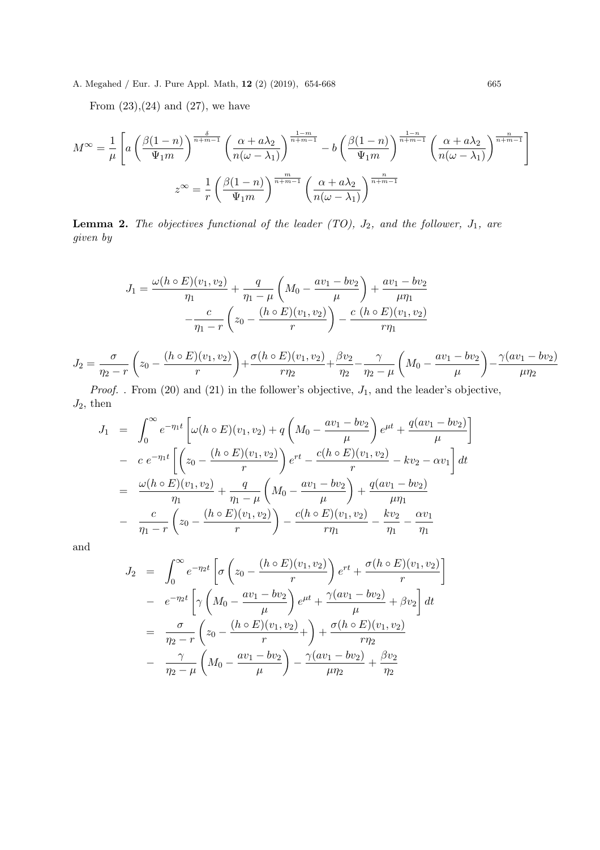From  $(23),(24)$  and  $(27)$ , we have

$$
M^{\infty} = \frac{1}{\mu} \left[ a \left( \frac{\beta(1-n)}{\Psi_1 m} \right)^{\frac{\delta}{n+m-1}} \left( \frac{\alpha + a\lambda_2}{n(\omega - \lambda_1)} \right)^{\frac{1-m}{n+m-1}} - b \left( \frac{\beta(1-n)}{\Psi_1 m} \right)^{\frac{1-n}{n+m-1}} \left( \frac{\alpha + a\lambda_2}{n(\omega - \lambda_1)} \right)^{\frac{n}{n+m-1}} \right]
$$
  

$$
z^{\infty} = \frac{1}{r} \left( \frac{\beta(1-n)}{\Psi_1 m} \right)^{\frac{m}{n+m-1}} \left( \frac{\alpha + a\lambda_2}{n(\omega - \lambda_1)} \right)^{\frac{n}{n+m-1}}
$$

**Lemma 2.** The objectives functional of the leader  $(TO)$ ,  $J_2$ , and the follower,  $J_1$ , are *given by*

$$
J_1 = \frac{\omega(h \circ E)(v_1, v_2)}{\eta_1} + \frac{q}{\eta_1 - \mu} \left( M_0 - \frac{av_1 - bv_2}{\mu} \right) + \frac{av_1 - bv_2}{\mu \eta_1}
$$

$$
- \frac{c}{\eta_1 - r} \left( z_0 - \frac{(h \circ E)(v_1, v_2)}{r} \right) - \frac{c (h \circ E)(v_1, v_2)}{r \eta_1}
$$

$$
J_2 = \frac{\sigma}{\eta_2 - r} \left( z_0 - \frac{(h \circ E)(v_1, v_2)}{r} \right) + \frac{\sigma(h \circ E)(v_1, v_2)}{r \eta_2} + \frac{\beta v_2}{\eta_2} - \frac{\gamma}{\eta_2 - \mu} \left( M_0 - \frac{av_1 - bv_2}{\mu} \right) - \frac{\gamma(av_1 - bv_2)}{\mu \eta_2}
$$

*Proof.* . From  $(20)$  and  $(21)$  in the follower's objective,  $J_1$ , and the leader's objective,  $J_2$ , then

$$
J_1 = \int_0^\infty e^{-\eta_1 t} \left[ \omega(h \circ E)(v_1, v_2) + q \left( M_0 - \frac{av_1 - bv_2}{\mu} \right) e^{\mu t} + \frac{q(av_1 - bv_2)}{\mu} \right]
$$
  
\n
$$
- c e^{-\eta_1 t} \left[ \left( z_0 - \frac{(h \circ E)(v_1, v_2)}{r} \right) e^{rt} - \frac{c(h \circ E)(v_1, v_2)}{r} - kv_2 - \alpha v_1 \right] dt
$$
  
\n
$$
= \frac{\omega(h \circ E)(v_1, v_2)}{\eta_1} + \frac{q}{\eta_1 - \mu} \left( M_0 - \frac{av_1 - bv_2}{\mu} \right) + \frac{q(av_1 - bv_2)}{\mu \eta_1}
$$
  
\n
$$
- \frac{c}{\eta_1 - r} \left( z_0 - \frac{(h \circ E)(v_1, v_2)}{r} \right) - \frac{c(h \circ E)(v_1, v_2)}{r \eta_1} - \frac{kv_2}{\eta_1} - \frac{\alpha v_1}{\eta_1}
$$

and

$$
J_2 = \int_0^{\infty} e^{-\eta_2 t} \left[ \sigma \left( z_0 - \frac{(h \circ E)(v_1, v_2)}{r} \right) e^{rt} + \frac{\sigma (h \circ E)(v_1, v_2)}{r} \right]
$$
  

$$
- e^{-\eta_2 t} \left[ \gamma \left( M_0 - \frac{av_1 - bv_2}{\mu} \right) e^{\mu t} + \frac{\gamma (av_1 - bv_2)}{\mu} + \beta v_2 \right] dt
$$
  

$$
= \frac{\sigma}{\eta_2 - r} \left( z_0 - \frac{(h \circ E)(v_1, v_2)}{r} + \right) + \frac{\sigma (h \circ E)(v_1, v_2)}{r \eta_2}
$$
  

$$
- \frac{\gamma}{\eta_2 - \mu} \left( M_0 - \frac{av_1 - bv_2}{\mu} \right) - \frac{\gamma (av_1 - bv_2)}{\mu \eta_2} + \frac{\beta v_2}{\eta_2}
$$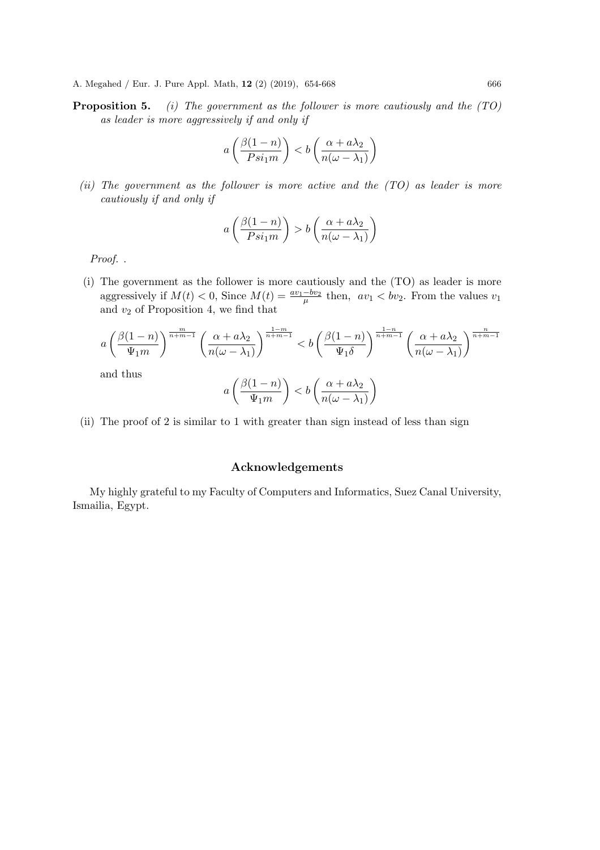Proposition 5. *(i) The government as the follower is more cautiously and the (TO) as leader is more aggressively if and only if*

$$
a\left(\frac{\beta(1-n)}{Psi(n)}\right) < b\left(\frac{\alpha + a\lambda_2}{n(\omega - \lambda_1)}\right)
$$

*(ii) The government as the follower is more active and the (TO) as leader is more cautiously if and only if*

$$
a\left(\frac{\beta(1-n)}{Psi(n)}\right) > b\left(\frac{\alpha + a\lambda_2}{n(\omega - \lambda_1)}\right)
$$

*Proof.* .

(i) The government as the follower is more cautiously and the (TO) as leader is more aggressively if  $M(t) < 0$ , Since  $M(t) = \frac{av_1 - bv_2}{\mu}$  then,  $av_1 < bv_2$ . From the values  $v_1$ and  $v_2$  of Proposition 4, we find that

$$
a\left(\frac{\beta(1-n)}{\Psi_1m}\right)^{\frac{m}{n+m-1}}\left(\frac{\alpha+a\lambda_2}{n(\omega-\lambda_1)}\right)^{\frac{1-m}{n+m-1}} < b\left(\frac{\beta(1-n)}{\Psi_1\delta}\right)^{\frac{1-n}{n+m-1}}\left(\frac{\alpha+a\lambda_2}{n(\omega-\lambda_1)}\right)^{\frac{n}{n+m-1}}
$$
  
and thus  

$$
a\left(\frac{\beta(1-n)}{\Psi_1}\right) < b\left(\frac{\alpha+a\lambda_2}{n+\lambda_1}\right)
$$

$$
a\left(\frac{\beta(1-n)}{\Psi_1 m}\right) < b\left(\frac{\alpha + a\lambda_2}{n(\omega - \lambda_1)}\right)
$$

(ii) The proof of 2 is similar to 1 with greater than sign instead of less than sign

#### Acknowledgements

My highly grateful to my Faculty of Computers and Informatics, Suez Canal University, Ismailia, Egypt.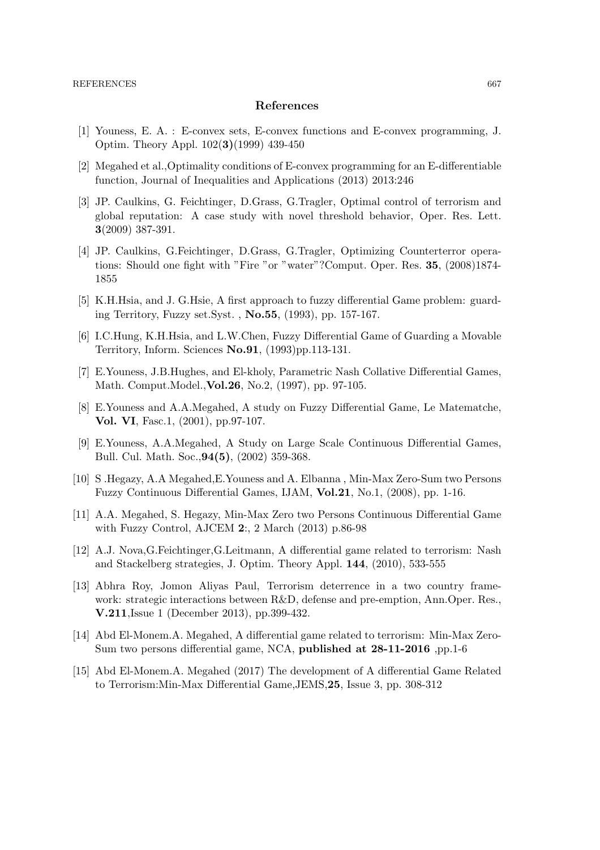#### References

- [1] Youness, E. A. : E-convex sets, E-convex functions and E-convex programming, J. Optim. Theory Appl. 102(3)(1999) 439-450
- [2] Megahed et al.,Optimality conditions of E-convex programming for an E-differentiable function, Journal of Inequalities and Applications (2013) 2013:246
- [3] JP. Caulkins, G. Feichtinger, D.Grass, G.Tragler, Optimal control of terrorism and global reputation: A case study with novel threshold behavior, Oper. Res. Lett. 3(2009) 387-391.
- [4] JP. Caulkins, G.Feichtinger, D.Grass, G.Tragler, Optimizing Counterterror operations: Should one fight with "Fire "or "water"?Comput. Oper. Res. 35, (2008)1874- 1855
- [5] K.H.Hsia, and J. G.Hsie, A first approach to fuzzy differential Game problem: guarding Territory, Fuzzy set.Syst. , No.55, (1993), pp. 157-167.
- [6] I.C.Hung, K.H.Hsia, and L.W.Chen, Fuzzy Differential Game of Guarding a Movable Territory, Inform. Sciences No.91, (1993)pp.113-131.
- [7] E.Youness, J.B.Hughes, and El-kholy, Parametric Nash Collative Differential Games, Math. Comput.Model.,Vol.26, No.2, (1997), pp. 97-105.
- [8] E.Youness and A.A.Megahed, A study on Fuzzy Differential Game, Le Matematche, Vol. VI, Fasc.1, (2001), pp.97-107.
- [9] E.Youness, A.A.Megahed, A Study on Large Scale Continuous Differential Games, Bull. Cul. Math. Soc.,94(5), (2002) 359-368.
- [10] S .Hegazy, A.A Megahed,E.Youness and A. Elbanna , Min-Max Zero-Sum two Persons Fuzzy Continuous Differential Games, IJAM, Vol.21, No.1, (2008), pp. 1-16.
- [11] A.A. Megahed, S. Hegazy, Min-Max Zero two Persons Continuous Differential Game with Fuzzy Control, AJCEM 2:, 2 March (2013) p.86-98
- [12] A.J. Nova,G.Feichtinger,G.Leitmann, A differential game related to terrorism: Nash and Stackelberg strategies, J. Optim. Theory Appl. 144, (2010), 533-555
- [13] Abhra Roy, Jomon Aliyas Paul, Terrorism deterrence in a two country framework: strategic interactions between R&D, defense and pre-emption, Ann.Oper. Res., V.211,Issue 1 (December 2013), pp.399-432.
- [14] Abd El-Monem.A. Megahed, A differential game related to terrorism: Min-Max Zero-Sum two persons differential game, NCA, published at 28-11-2016 ,pp.1-6
- [15] Abd El-Monem.A. Megahed (2017) The development of A differential Game Related to Terrorism:Min-Max Differential Game,JEMS,25, Issue 3, pp. 308-312